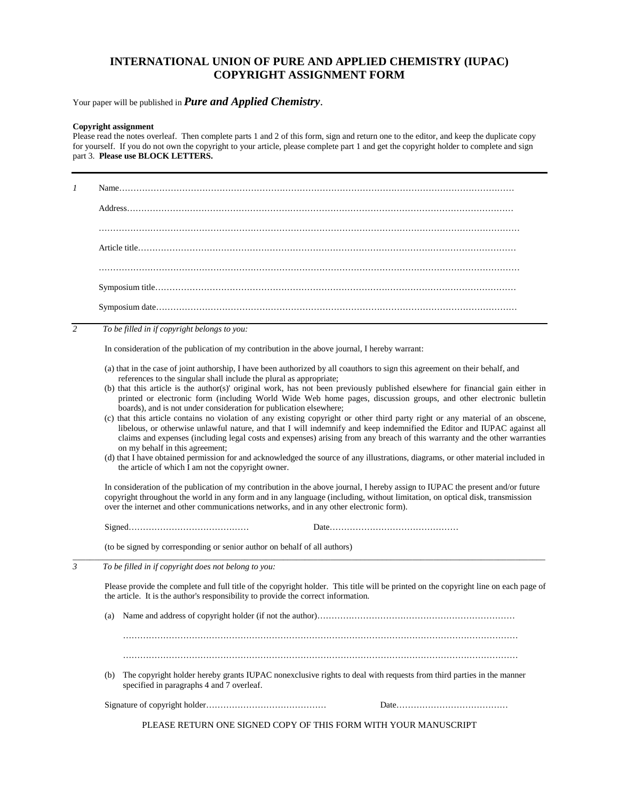## **INTERNATIONAL UNION OF PURE AND APPLIED CHEMISTRY (IUPAC) COPYRIGHT ASSIGNMENT FORM**

Your paper will be published in **Pure and Applied Chemistry**.

## **Copyright assignment**

Please read the notes overleaf. Then complete parts 1 and 2 of this form, sign and return one to the editor, and keep the duplicate copy for yourself. If you do not own the copyright to your article, please complete part 1 and get the copyright holder to complete and sign part 3. **Please use BLOCK LETTERS.**

*1* Name………………………………………………………………………………………………………………………… Address……………………………………………………………………………………………………………………… ………………………………………………………………………………………………………………………………… Article title…………………………………………………………………………………………………………………… ………………………………………………………………………………………………………………………………… Symposium title……………………………………………………………………………………………………………… Symposium date……………………………………………………………………………………………………………… *2 To be filled in if copyright belongs to you:* In consideration of the publication of my contribution in the above journal, I hereby warrant: (a) that in the case of joint authorship, I have been authorized by all coauthors to sign this agreement on their behalf, and references to the singular shall include the plural as appropriate; (b) that this article is the author(s)' original work, has not been previously published elsewhere for financial gain either in printed or electronic form (including World Wide Web home pages, discussion groups, and other electronic bulletin boards), and is not under consideration for publication elsewhere; (c) that this article contains no violation of any existing copyright or other third party right or any material of an obscene, libelous, or otherwise unlawful nature, and that I will indemnify and keep indemnified the Editor and IUPAC against all claims and expenses (including legal costs and expenses) arising from any breach of this warranty and the other warranties on my behalf in this agreement; (d) that I have obtained permission for and acknowledged the source of any illustrations, diagrams, or other material included in the article of which I am not the copyright owner. In consideration of the publication of my contribution in the above journal, I hereby assign to IUPAC the present and/or future copyright throughout the world in any form and in any language (including, without limitation, on optical disk, transmission over the internet and other communications networks, and in any other electronic form). Signed…………………………………… Date……………………………………… (to be signed by corresponding or senior author on behalf of all authors) \_\_\_\_\_\_\_\_\_\_\_\_\_\_\_\_\_\_\_\_\_\_\_\_\_\_\_\_\_\_\_\_\_\_\_\_\_\_\_\_\_\_\_\_\_\_\_\_\_\_\_\_\_\_\_\_\_\_\_\_\_\_\_\_\_\_\_\_\_\_\_\_\_\_\_\_\_\_\_\_\_\_\_\_\_\_\_\_\_\_\_\_\_\_\_\_\_\_\_\_\_\_\_\_\_\_\_\_\_\_ *3 To be filled in if copyright does not belong to you:* Please provide the complete and full title of the copyright holder. This title will be printed on the copyright line on each page of the article. It is the author's responsibility to provide the correct information. (a) Name and address of copyright holder (if not the author)…………………………………………………………… ………………………………………………………………………………………………………………………… ………………………………………………………………………………………………………………………… (b) The copyright holder hereby grants IUPAC nonexclusive rights to deal with requests from third parties in the manner specified in paragraphs 4 and 7 overleaf.

Signature of copyright holder…………………………………… Date…………………………………

PLEASE RETURN ONE SIGNED COPY OF THIS FORM WITH YOUR MANUSCRIPT